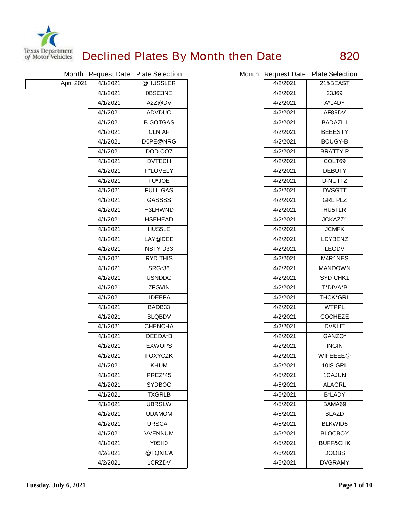

## **Declined Plates By Month then Date 820**

|            |          | Month Request Date Plate Selection |          | Month Request Date Plate Selection |
|------------|----------|------------------------------------|----------|------------------------------------|
| April 2021 | 4/1/2021 | @HUSSLER                           | 4/2/2021 | 21&BEAST                           |
|            | 4/1/2021 | 0BSC3NE                            | 4/2/2021 | 23J69                              |
|            | 4/1/2021 | A2Z@DV                             | 4/2/2021 | A*L4DY                             |
|            | 4/1/2021 | <b>ADVDUO</b>                      | 4/2/2021 | AF89DV                             |
|            | 4/1/2021 | <b>B GOTGAS</b>                    | 4/2/2021 | <b>BADAZL1</b>                     |
|            | 4/1/2021 | <b>CLN AF</b>                      | 4/2/2021 | <b>BEEESTY</b>                     |
|            | 4/1/2021 | D0PE@NRG                           | 4/2/2021 | <b>BOUGY-B</b>                     |
|            | 4/1/2021 | <b>DOD 007</b>                     | 4/2/2021 | <b>BRATTY P</b>                    |
|            | 4/1/2021 | <b>DVTECH</b>                      | 4/2/2021 | COLT69                             |
|            | 4/1/2021 | <b>F*LOVELY</b>                    | 4/2/2021 | <b>DEBUTY</b>                      |
|            | 4/1/2021 | <b>FU*JOE</b>                      | 4/2/2021 | <b>D-NUTTZ</b>                     |
|            | 4/1/2021 | <b>FULL GAS</b>                    | 4/2/2021 | <b>DVSGTT</b>                      |
|            | 4/1/2021 | <b>GASSSS</b>                      | 4/2/2021 | <b>GRL PLZ</b>                     |
|            | 4/1/2021 | <b>H3LHWND</b>                     | 4/2/2021 | <b>HU5TLR</b>                      |
|            | 4/1/2021 | <b>HSEHEAD</b>                     | 4/2/2021 | JCKAZZ1                            |
|            | 4/1/2021 | <b>HUS5LE</b>                      | 4/2/2021 | <b>JCMFK</b>                       |
|            | 4/1/2021 | LAY@DEE                            | 4/2/2021 | <b>LDYBENZ</b>                     |
|            | 4/1/2021 | <b>NSTY D33</b>                    | 4/2/2021 | <b>LEGDV</b>                       |
|            | 4/1/2021 | <b>RYD THIS</b>                    | 4/2/2021 | M4R1NES                            |
|            | 4/1/2021 | <b>SRG*36</b>                      | 4/2/2021 | <b>MANDOWN</b>                     |
|            | 4/1/2021 | <b>USNDDG</b>                      | 4/2/2021 | <b>SYD CHK1</b>                    |
|            | 4/1/2021 | <b>ZFGVIN</b>                      | 4/2/2021 | T*DIVA*B                           |
|            | 4/1/2021 | 1DEEPA                             | 4/2/2021 | <b>THCK*GRL</b>                    |
|            | 4/1/2021 | BADB33                             | 4/2/2021 | <b>WTPPL</b>                       |
|            | 4/1/2021 | <b>BLQBDV</b>                      | 4/2/2021 | <b>COCHEZE</b>                     |
|            | 4/1/2021 | <b>CHENCHA</b>                     | 4/2/2021 | <b>DV&amp;LIT</b>                  |
|            | 4/1/2021 | <b>DEEDA*B</b>                     | 4/2/2021 | GANZO*                             |
|            | 4/1/2021 | <b>EXWOPS</b>                      | 4/2/2021 | <b>INGIN</b>                       |
|            | 4/1/2021 | <b>FOXYCZK</b>                     | 4/2/2021 | WIFEEEE@                           |
|            | 4/1/2021 | <b>KHUM</b>                        | 4/5/2021 | 10IS GRL                           |
|            | 4/1/2021 | <b>PREZ*45</b>                     | 4/5/2021 | <b>1CAJUN</b>                      |
|            | 4/1/2021 | <b>SYDBOO</b>                      | 4/5/2021 | <b>ALAGRL</b>                      |
|            | 4/1/2021 | <b>TXGRLB</b>                      | 4/5/2021 | <b>B*LADY</b>                      |
|            | 4/1/2021 | <b>UBRSLW</b>                      | 4/5/2021 | BAMA69                             |
|            | 4/1/2021 | <b>UDAMOM</b>                      | 4/5/2021 | <b>BLAZD</b>                       |
|            | 4/1/2021 | <b>URSCAT</b>                      | 4/5/2021 | <b>BLKWID5</b>                     |
|            | 4/1/2021 | <b>VVENNUM</b>                     | 4/5/2021 | <b>BLOCBOY</b>                     |
|            | 4/1/2021 | <b>Y05H0</b>                       | 4/5/2021 | <b>BUFF&amp;CHK</b>                |
|            | 4/2/2021 | @TQXICA                            | 4/5/2021 | <b>DOOBS</b>                       |
|            | 4/2/2021 | 1CRZDV                             | 4/5/2021 | <b>DVGRAMY</b>                     |

| nth Request Date | <b>Plate Selection</b> |
|------------------|------------------------|
| 4/2/2021         | 21&BEAST               |
| 4/2/2021         | 23J69                  |
| 4/2/2021         | A*L4DY                 |
| 4/2/2021         | AF89DV                 |
| 4/2/2021         | <b>BADAZL1</b>         |
| 4/2/2021         | <b>BEEESTY</b>         |
| 4/2/2021         | <b>BOUGY-B</b>         |
| 4/2/2021         | <b>BRATTY P</b>        |
| 4/2/2021         | COLT69                 |
| 4/2/2021         | <b>DEBUTY</b>          |
| 4/2/2021         | <b>D-NUTTZ</b>         |
| 4/2/2021         | <b>DVSGTT</b>          |
| 4/2/2021         | <b>GRL PLZ</b>         |
| 4/2/2021         | <b>HU5TLR</b>          |
| 4/2/2021         | JCKAZZ1                |
| 4/2/2021         | <b>JCMFK</b>           |
| 4/2/2021         | <b>LDYBENZ</b>         |
| 4/2/2021         | <b>LEGDV</b>           |
| 4/2/2021         | <b>M4R1NES</b>         |
| 4/2/2021         | <b>MANDOWN</b>         |
| 4/2/2021         | SYD CHK1               |
| 4/2/2021         | <b>T*DIVA*B</b>        |
| 4/2/2021         | <b>THCK*GRL</b>        |
| 4/2/2021         | <b>WTPPL</b>           |
| 4/2/2021         | <b>COCHEZE</b>         |
| 4/2/2021         | <b>DV&amp;LIT</b>      |
| 4/2/2021         | GANZO*                 |
| 4/2/2021         | <b>INGIN</b>           |
| 4/2/2021         | WIFEEEE@               |
| 4/5/2021         | 10IS GRL               |
| 4/5/2021         | <b>1CAJUN</b>          |
| 4/5/2021         | <b>ALAGRL</b>          |
| 4/5/2021         | <b>B*LADY</b>          |
| 4/5/2021         | BAMA69                 |
| 4/5/2021         | <b>BLAZD</b>           |
| 4/5/2021         | <b>BLKWID5</b>         |
| 4/5/2021         | <b>BLOCBOY</b>         |
| 4/5/2021         | <b>BUFF&amp;CHK</b>    |
| 4/5/2021         | <b>DOOBS</b>           |
| 4/5/2021         | <b>DVGRAMY</b>         |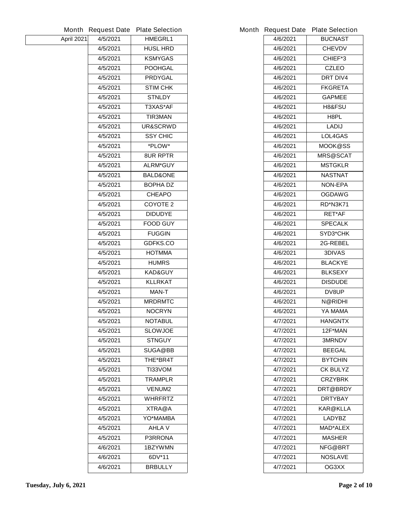| Month             | <b>Request Date</b> | <b>Plate Selection</b> |
|-------------------|---------------------|------------------------|
| <b>April 2021</b> | 4/5/2021            | <b>HMEGRL1</b>         |
|                   | 4/5/2021            | <b>HUSL HRD</b>        |
|                   | 4/5/2021            | <b>KSMYGAS</b>         |
|                   | 4/5/2021            | <b>POOHGAL</b>         |
|                   | 4/5/2021            | <b>PRDYGAL</b>         |
|                   | 4/5/2021            | <b>STIM CHK</b>        |
|                   | 4/5/2021            | <b>STNLDY</b>          |
|                   | 4/5/2021            | T3XAS*AF               |
|                   | 4/5/2021            | <b>TIR3MAN</b>         |
|                   | 4/5/2021            | <b>UR&amp;SCRWD</b>    |
|                   | 4/5/2021            | <b>SSY CHIC</b>        |
|                   | 4/5/2021            | *PLOW*                 |
|                   | 4/5/2021            | <b>8UR RPTR</b>        |
|                   | 4/5/2021            | <b>ALRM*GUY</b>        |
|                   | 4/5/2021            | <b>BALD&amp;ONE</b>    |
|                   | 4/5/2021            | <b>BOPHA DZ</b>        |
|                   | 4/5/2021            | <b>CHEAPO</b>          |
|                   | 4/5/2021            | <b>COYOTE 2</b>        |
|                   | 4/5/2021            | <b>DIDUDYE</b>         |
|                   | 4/5/2021            | <b>FOOD GUY</b>        |
|                   | 4/5/2021            | <b>FUGGIN</b>          |
|                   | 4/5/2021            | <b>GDFKS.CO</b>        |
|                   | 4/5/2021            | <b>HOTMMA</b>          |
|                   | 4/5/2021            | <b>HUMRS</b>           |
|                   | 4/5/2021            | <b>KAD&amp;GUY</b>     |
|                   | 4/5/2021            | <b>KLLRKAT</b>         |
|                   | 4/5/2021            | MAN-T                  |
|                   | 4/5/2021            | <b>MRDRMTC</b>         |
|                   | 4/5/2021            | <b>NOCRYN</b>          |
|                   | 4/5/2021            | NOTABUL                |
|                   | 4/5/2021            | <b>SLOWJOE</b>         |
|                   | 4/5/2021            | <b>STNGUY</b>          |
|                   | 4/5/2021            | <b>SUGA@BB</b>         |
|                   | 4/5/2021            | <b>THE*BR4T</b>        |
|                   | 4/5/2021            | <b>TI33VOM</b>         |
|                   | 4/5/2021            | <b>TRAMPLR</b>         |
|                   | 4/5/2021            | <b>VENUM2</b>          |
|                   | 4/5/2021            | <b>WHRFRTZ</b>         |
|                   | 4/5/2021            | <b>XTRA@A</b>          |
|                   | 4/5/2021            | YO*MAMBA               |
|                   | 4/5/2021            | <b>AHLA V</b>          |
|                   | 4/5/2021            | <b>P3RRONA</b>         |
|                   | 4/6/2021            | 1BZYWMN                |
|                   | 4/6/2021            | 6DV*11                 |
|                   | 4/6/2021            | <b>BRBULLY</b>         |
|                   |                     |                        |

|          | Month Request Date Plate Selection |
|----------|------------------------------------|
| 4/6/2021 | <b>BUCNAST</b>                     |
| 4/6/2021 | <b>CHEVDV</b>                      |
| 4/6/2021 | CHIEF*3                            |
| 4/6/2021 | <b>CZLEO</b>                       |
| 4/6/2021 | <b>DRT DIV4</b>                    |
| 4/6/2021 | <b>FKGRETA</b>                     |
| 4/6/2021 | <b>GAPMEE</b>                      |
| 4/6/2021 | <b>H8&amp;FSU</b>                  |
| 4/6/2021 | H8PL                               |
| 4/6/2021 | LADIJ                              |
| 4/6/2021 | <b>LOL4GAS</b>                     |
| 4/6/2021 | <b>MOOK@SS</b>                     |
| 4/6/2021 | <b>MRS@SCAT</b>                    |
| 4/6/2021 | <b>MSTGKLR</b>                     |
| 4/6/2021 | <b>NASTNAT</b>                     |
| 4/6/2021 | <b>NON-EPA</b>                     |
| 4/6/2021 | <b>OGDAWG</b>                      |
| 4/6/2021 | <b>RD*N3K71</b>                    |
| 4/6/2021 | <b>RET*AF</b>                      |
| 4/6/2021 | <b>SPECALK</b>                     |
| 4/6/2021 | <b>SYD3*CHK</b>                    |
| 4/6/2021 | <b>2G-REBEL</b>                    |
| 4/6/2021 | <b>3DIVAS</b>                      |
| 4/6/2021 | <b>BLACKYE</b>                     |
| 4/6/2021 | <b>BLKSEXY</b>                     |
| 4/6/2021 | <b>DISDUDE</b>                     |
| 4/6/2021 | <b>DV8UP</b>                       |
| 4/6/2021 | N@RIDHI                            |
| 4/6/2021 | YA MAMA                            |
| 4/7/2021 | <b>HANGNTX</b>                     |
| 4/7/2021 | 12F*MAN                            |
| 4/7/2021 | <b>3MRNDV</b>                      |
| 4/7/2021 | <b>BEEGAL</b>                      |
| 4/7/2021 | <b>BYTCHIN</b>                     |
| 4/7/2021 | <b>CK BULYZ</b>                    |
| 4/7/2021 | <b>CRZYBRK</b>                     |
| 4/7/2021 | <b>DRT@BRDY</b>                    |
| 4/7/2021 | <b>DRTYBAY</b>                     |
| 4/7/2021 | KAR@KLLA                           |
| 4/7/2021 | <b>LADYBZ</b>                      |
| 4/7/2021 | <b>MAD*ALEX</b>                    |
| 4/7/2021 | <b>MASHER</b>                      |
| 4/7/2021 | NFG@BRT                            |
| 4/7/2021 | <b>NOSLAVE</b>                     |
| 4/7/2021 | OG3XX                              |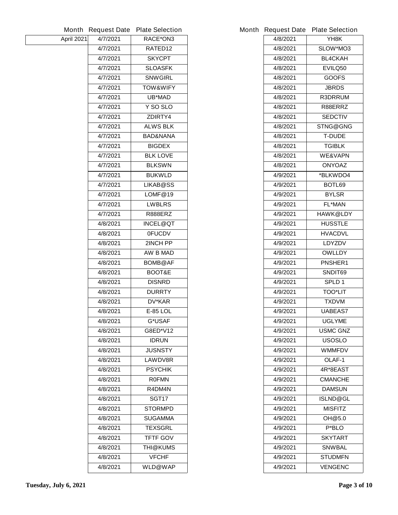| <b>Month</b> | <b>Request Date</b> | <b>Plate Selection</b> |
|--------------|---------------------|------------------------|
| April 2021   | 4/7/2021            | RACE*ON3               |
|              | 4/7/2021            | RATED12                |
|              | 4/7/2021            | <b>SKYCPT</b>          |
|              | 4/7/2021            | <b>SLOASFK</b>         |
|              | 4/7/2021            | <b>SNWGIRL</b>         |
|              | 4/7/2021            | <b>TOW&amp;WIFY</b>    |
|              | 4/7/2021            | <b>UB*MAD</b>          |
|              | 4/7/2021            | Y SO SLO               |
|              | 4/7/2021            | ZDIRTY4                |
|              | 4/7/2021            | <b>ALWS BLK</b>        |
|              | 4/7/2021            | <b>BAD&amp;NANA</b>    |
|              | 4/7/2021            | <b>BIGDEX</b>          |
|              | 4/7/2021            | <b>BLK LOVE</b>        |
|              | 4/7/2021            | <b>BLKSWN</b>          |
|              | 4/7/2021            | <b>BUKWLD</b>          |
|              | 4/7/2021            | <b>LIKAB@SS</b>        |
|              | 4/7/2021            | LOMF@19                |
|              | 4/7/2021            | <b>LWBLRS</b>          |
|              | 4/7/2021            | R888ERZ                |
|              | 4/8/2021            | <b>INCEL@QT</b>        |
|              | 4/8/2021            | <b>OFUCDV</b>          |
|              | 4/8/2021            | 2INCH PP               |
|              | 4/8/2021            | <b>AW B MAD</b>        |
|              | 4/8/2021            | <b>BOMB@AF</b>         |
|              | 4/8/2021            | BOOT&E                 |
|              | 4/8/2021            | <b>DISNRD</b>          |
|              | 4/8/2021            | <b>DURRTY</b>          |
|              | 4/8/2021            | <b>DV*KAR</b>          |
|              | 4/8/2021            | <b>E-85 LOL</b>        |
|              | 4/8/2021            | G*USAF                 |
|              | 4/8/2021            | <b>G8ED*V12</b>        |
|              | 4/8/2021            | <b>IDRUN</b>           |
|              | 4/8/2021            | <b>JUSNSTY</b>         |
|              | 4/8/2021            | <b>LAWDV8R</b>         |
|              | 4/8/2021            | <b>PSYCHIK</b>         |
|              | 4/8/2021            | <b>ROFMN</b>           |
|              | 4/8/2021            | R4DM4N                 |
|              | 4/8/2021            | <b>SGT17</b>           |
|              | 4/8/2021            | <b>STORMPD</b>         |
|              | 4/8/2021            | SUGAMMA                |
|              | 4/8/2021            | <b>TEXSGRL</b>         |
|              | 4/8/2021            | <b>TFTF GOV</b>        |
|              | 4/8/2021            | <b>THI@KUMS</b>        |
|              | 4/8/2021            | <b>VFCHF</b>           |
|              | 4/8/2021            | <b>WLD@WAP</b>         |
|              |                     |                        |

|          | Month Request Date Plate Selection |
|----------|------------------------------------|
| 4/8/2021 | YH8K                               |
| 4/8/2021 | SLOW*MO3                           |
| 4/8/2021 | <b>BL4CKAH</b>                     |
| 4/8/2021 | <b>EVILQ50</b>                     |
| 4/8/2021 | <b>GOOFS</b>                       |
| 4/8/2021 | <b>JBRDS</b>                       |
| 4/8/2021 | <b>R3DRRUM</b>                     |
| 4/8/2021 | R88ERRZ                            |
| 4/8/2021 | <b>SEDCTIV</b>                     |
| 4/8/2021 | <b>STNG@GNG</b>                    |
| 4/8/2021 | T-DUDE                             |
| 4/8/2021 | <b>TGIBLK</b>                      |
| 4/8/2021 | <b>WE&amp;VAPN</b>                 |
| 4/8/2021 | <b>ONYOAZ</b>                      |
| 4/9/2021 | *BLKWDO4                           |
| 4/9/2021 | BOTL69                             |
| 4/9/2021 | <b>BYLSR</b>                       |
| 4/9/2021 | <b>FL*MAN</b>                      |
| 4/9/2021 | <b>HAWK@LDY</b>                    |
| 4/9/2021 | <b>HUSSTLE</b>                     |
| 4/9/2021 | <b>HVACDVL</b>                     |
| 4/9/2021 | <b>LDYZDV</b>                      |
| 4/9/2021 | <b>OWLLDY</b>                      |
| 4/9/2021 | <b>PNSHER1</b>                     |
| 4/9/2021 | <b>SNDIT69</b>                     |
| 4/9/2021 | <b>SPLD1</b>                       |
| 4/9/2021 | <b>TOO*LIT</b>                     |
| 4/9/2021 | <b>TXDVM</b>                       |
| 4/9/2021 | <b>UABEAS7</b>                     |
| 4/9/2021 | <b>UGLYME</b>                      |
| 4/9/2021 | <b>USMC GNZ</b>                    |
| 4/9/2021 | USOSLO                             |
| 4/9/2021 | <b>WMMFDV</b>                      |
| 4/9/2021 | OLAF-1                             |
| 4/9/2021 | 4R*8EAST                           |
| 4/9/2021 | <b>CMANCHE</b>                     |
| 4/9/2021 | <b>DAMSUN</b>                      |
| 4/9/2021 | <b>ISLND@GL</b>                    |
| 4/9/2021 | <b>MISFITZ</b>                     |
| 4/9/2021 | OH@5.0                             |
| 4/9/2021 | P*BLO                              |
| 4/9/2021 | SKYTART                            |
| 4/9/2021 | <b>SNWBAL</b>                      |
| 4/9/2021 | <b>STUDMFN</b>                     |
| 4/9/2021 | <b>VENGENC</b>                     |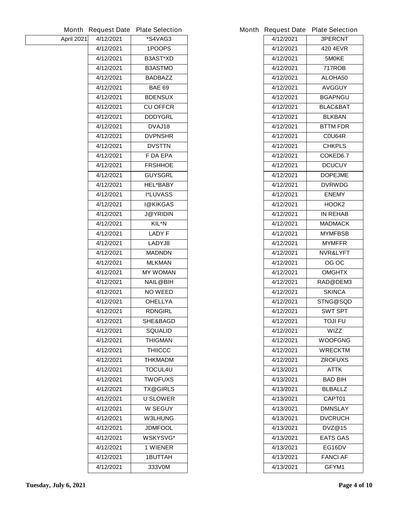|            |           | Month Request Date Plate Selection |
|------------|-----------|------------------------------------|
| April 2021 | 4/12/2021 | *S4VAG3                            |
|            | 4/12/2021 | 1POOPS                             |
|            | 4/12/2021 | <b>B3AST*XD</b>                    |
|            | 4/12/2021 | <b>B3ASTMO</b>                     |
|            | 4/12/2021 | <b>BADBAZZ</b>                     |
|            | 4/12/2021 | <b>BAE 69</b>                      |
|            | 4/12/2021 | <b>BDENSUX</b>                     |
|            | 4/12/2021 | <b>CU OFFCR</b>                    |
|            | 4/12/2021 | <b>DDDYGRL</b>                     |
|            | 4/12/2021 | DVAJ18                             |
|            | 4/12/2021 | <b>DVPNSHR</b>                     |
|            | 4/12/2021 | <b>DVSTTN</b>                      |
|            | 4/12/2021 | <b>F DA EPA</b>                    |
|            | 4/12/2021 | <b>FRSHHOE</b>                     |
|            | 4/12/2021 | <b>GUYSGRL</b>                     |
|            | 4/12/2021 | <b>HEL*BABY</b>                    |
|            | 4/12/2021 | <b>I*LUVASS</b>                    |
|            | 4/12/2021 | <b>I@KIKGAS</b>                    |
|            | 4/12/2021 | <b>J@YRIDIN</b>                    |
|            | 4/12/2021 | KIL*N                              |
|            | 4/12/2021 | <b>LADY F</b>                      |
|            | 4/12/2021 | LADYJ8                             |
|            | 4/12/2021 | <b>MADNDN</b>                      |
|            | 4/12/2021 | <b>MLKMAN</b>                      |
|            | 4/12/2021 | <b>MY WOMAN</b>                    |
|            | 4/12/2021 | <b>NAIL@BIH</b>                    |
|            | 4/12/2021 | <b>NO WEED</b>                     |
|            | 4/12/2021 | <b>OHELLYA</b>                     |
|            | 4/12/2021 | <b>RDNGIRL</b>                     |
|            | 4/12/2021 | <b>SHE&amp;BAGD</b>                |
|            | 4/12/2021 | <b>SQUALID</b>                     |
|            | 4/12/2021 | THIGMAN                            |
|            | 4/12/2021 | <b>THIICCC</b>                     |
|            | 4/12/2021 | THKMADM                            |
|            | 4/12/2021 | <b>TOCUL4U</b>                     |
|            | 4/12/2021 | <b>TWOFUXS</b>                     |
|            | 4/12/2021 | <b>TX@GIRLS</b>                    |
|            | 4/12/2021 | <b>U SLOWER</b>                    |
|            | 4/12/2021 | <b>W SEGUY</b>                     |
|            | 4/12/2021 | <b>W3LHUNG</b>                     |
|            | 4/12/2021 | <b>JDMFOOL</b>                     |
|            | 4/12/2021 | <b>WSKYSVG*</b>                    |
|            | 4/12/2021 | <b>1 WIENER</b>                    |
|            | 4/12/2021 | <b>1BUTTAH</b>                     |
|            | 4/12/2021 | 333V0M                             |
|            |           |                                    |

|           | Month Request Date Plate Selection |
|-----------|------------------------------------|
| 4/12/2021 | <b>3PERCNT</b>                     |
| 4/12/2021 | <b>420 4EVR</b>                    |
| 4/12/2021 | 5M0KE                              |
| 4/12/2021 | <b>717ROB</b>                      |
| 4/12/2021 | <b>ALOHA50</b>                     |
| 4/12/2021 | <b>AVGGUY</b>                      |
| 4/12/2021 | <b>BGAPNGU</b>                     |
| 4/12/2021 | <b>BLAC&amp;BAT</b>                |
| 4/12/2021 | <b>BLKBAN</b>                      |
| 4/12/2021 | <b>BTTM FDR</b>                    |
| 4/12/2021 | C0U64R                             |
| 4/12/2021 | <b>CHKPLS</b>                      |
| 4/12/2021 | COKED6.7                           |
| 4/12/2021 | <b>DCUCUY</b>                      |
| 4/12/2021 | <b>DOPEJME</b>                     |
| 4/12/2021 | <b>DVRWDG</b>                      |
| 4/12/2021 | <b>ENEMY</b>                       |
| 4/12/2021 | HOOK <sub>2</sub>                  |
| 4/12/2021 | <b>IN REHAB</b>                    |
| 4/12/2021 | <b>MADMACK</b>                     |
| 4/12/2021 | <b>MYMFBSB</b>                     |
| 4/12/2021 | <b>MYMFFR</b>                      |
| 4/12/2021 | <b>NVR&amp;LYFT</b>                |
| 4/12/2021 | OG OC                              |
| 4/12/2021 | <b>OMGHTX</b>                      |
| 4/12/2021 | <b>RAD@DEM3</b>                    |
| 4/12/2021 | <b>SKINCA</b>                      |
| 4/12/2021 | STNG@SQD                           |
| 4/12/2021 | <b>SWT SPT</b>                     |
| 4/12/2021 | TOJI FU                            |
| 4/12/2021 | WIZZ                               |
| 4/12/2021 | <b>WOOFGNG</b>                     |
| 4/12/2021 | <b>WRECKTM</b>                     |
| 4/12/2021 | <b>ZROFUXS</b>                     |
| 4/13/2021 | ATTK                               |
| 4/13/2021 | <b>BAD BIH</b>                     |
| 4/13/2021 | <b>BLBALLZ</b>                     |
| 4/13/2021 | CAPT01                             |
| 4/13/2021 | <b>DMNSLAY</b>                     |
| 4/13/2021 | <b>DVCRUCH</b>                     |
| 4/13/2021 | DVZ@15                             |
| 4/13/2021 | <b>EATS GAS</b>                    |
| 4/13/2021 | EG16DV                             |
| 4/13/2021 | <b>FANCI AF</b>                    |
| 4/13/2021 | <b>GFYM1</b>                       |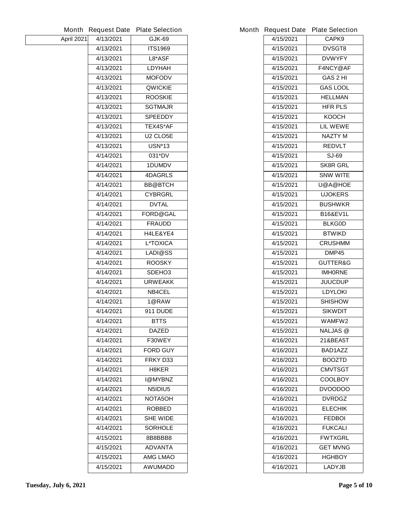|            |           | Month Request Date Plate Selection |
|------------|-----------|------------------------------------|
| April 2021 | 4/13/2021 | GJK-69                             |
|            | 4/13/2021 | <b>ITS1969</b>                     |
|            | 4/13/2021 | <b>L8*ASF</b>                      |
|            | 4/13/2021 | <b>LDYHAH</b>                      |
|            | 4/13/2021 | <b>MOFODV</b>                      |
|            | 4/13/2021 | <b>QWICKIE</b>                     |
|            | 4/13/2021 | <b>ROOSKIE</b>                     |
|            | 4/13/2021 | <b>SGTMAJR</b>                     |
|            | 4/13/2021 | <b>SPEEDDY</b>                     |
|            | 4/13/2021 | <b>TEX4S*AF</b>                    |
|            | 4/13/2021 | U2 CLO5E                           |
|            | 4/13/2021 | <b>USN*13</b>                      |
|            | 4/14/2021 | 031*DV                             |
|            | 4/14/2021 | <b>1DUMDV</b>                      |
|            | 4/14/2021 | <b>4DAGRLS</b>                     |
|            | 4/14/2021 | <b>BB@BTCH</b>                     |
|            | 4/14/2021 | <b>CYBRGRL</b>                     |
|            | 4/14/2021 | <b>DVTAL</b>                       |
|            | 4/14/2021 | <b>FORD@GAL</b>                    |
|            | 4/14/2021 | <b>FRAUDD</b>                      |
|            | 4/14/2021 | <b>H4LE&amp;YE4</b>                |
|            | 4/14/2021 | <b>L*TOXICA</b>                    |
|            | 4/14/2021 | <b>LADI@SS</b>                     |
|            | 4/14/2021 | <b>ROOSKY</b>                      |
|            | 4/14/2021 | SDEHO <sub>3</sub>                 |
|            | 4/14/2021 | <b>URWEAKK</b>                     |
|            | 4/14/2021 | <b>NB4CEL</b>                      |
|            | 4/14/2021 | 1@RAW                              |
|            | 4/14/2021 | <b>911 DUDE</b>                    |
|            | 4/14/2021 | <b>BTTS</b>                        |
|            | 4/14/2021 | <b>DAZED</b>                       |
|            | 4/14/2021 | F30WEY                             |
|            | 4/14/2021 | <b>FORD GUY</b>                    |
|            | 4/14/2021 | FRKY D33                           |
|            | 4/14/2021 | <b>H8KER</b>                       |
|            | 4/14/2021 | I@MYBNZ                            |
|            | 4/14/2021 | N5IDIU5                            |
|            | 4/14/2021 | <b>NOTA5OH</b>                     |
|            | 4/14/2021 | <b>ROBBED</b>                      |
|            | 4/14/2021 | <b>SHE WIDE</b>                    |
|            | 4/14/2021 | <b>SORHOLE</b>                     |
|            | 4/15/2021 | 8B8BBB8                            |
|            | 4/15/2021 | <b>ADVANTA</b>                     |
|            | 4/15/2021 | AMG LMAO                           |
|            | 4/15/2021 | <b>AWUMADD</b>                     |
|            |           |                                    |

|                        | Month Request Date Plate Selection |
|------------------------|------------------------------------|
| 4/15/2021              | CAPK9                              |
| 4/15/2021              | <b>DVSGT8</b>                      |
| 4/15/2021              | <b>DVWYFY</b>                      |
| 4/15/2021              | <b>F4NCY@AF</b>                    |
| 4/15/2021              | <b>GAS 2 HI</b>                    |
| 4/15/2021              | <b>GAS LOOL</b>                    |
| 4/15/2021              | <b>HELLMAN</b>                     |
| 4/15/2021              | <b>HFR PLS</b>                     |
| 4/15/2021              | <b>KOOCH</b>                       |
| 4/15/2021              | <b>LIL WEWE</b>                    |
| 4/15/2021              | <b>NAZTY M</b>                     |
| 4/15/2021              | <b>REDVLT</b>                      |
| 4/15/2021              | SJ-69                              |
| 4/15/2021              | <b>SK8R GRL</b>                    |
| 4/15/2021              | <b>SNW WITE</b>                    |
| 4/15/2021              | <b>U@A@HOE</b>                     |
| 4/15/2021              | <b>UJOKERS</b>                     |
| 4/15/2021              | <b>BUSHWKR</b>                     |
| 4/15/2021              | <b>B16&amp;EV1L</b>                |
| 4/15/2021              | <b>BLKG0D</b>                      |
| 4/15/2021              | <b>BTWIKD</b>                      |
| 4/15/2021              | <b>CRUSHMM</b>                     |
| 4/15/2021              | DMP45                              |
| 4/15/2021              | <b>GUTTER&amp;G</b>                |
| 4/15/2021              | <b>IMHORNE</b>                     |
| 4/15/2021              | <b>JUUCDUP</b>                     |
| 4/15/2021              | <b>LDYLOKI</b>                     |
| 4/15/2021              | <b>SHISHOW</b>                     |
| 4/15/2021              | <b>SIKWDIT</b>                     |
| 4/15/2021              | WAMFW2                             |
| 4/15/2021              | <b>NALJAS @</b>                    |
| 4/16/2021              | 21&BEA5T                           |
| 4/16/2021              | BAD1AZZ                            |
| 4/16/2021              | <b>BOOZTD</b>                      |
| 4/16/2021              | <b>CMVTSGT</b>                     |
| 4/16/2021              | COOLBOY                            |
| 4/16/2021              | <b>DVOODOO</b>                     |
| 4/16/2021              | <b>DVRDGZ</b>                      |
| 4/16/2021              | <b>ELECHIK</b>                     |
| 4/16/2021              | <b>FEDBOI</b>                      |
| 4/16/2021              | <b>FUKCALI</b>                     |
| 4/16/2021              | <b>FWTXGRL</b>                     |
| 4/16/2021<br>4/16/2021 | <b>GET MVNG</b><br><b>HGHBOY</b>   |
| 4/16/2021              | <b>LADYJB</b>                      |
|                        |                                    |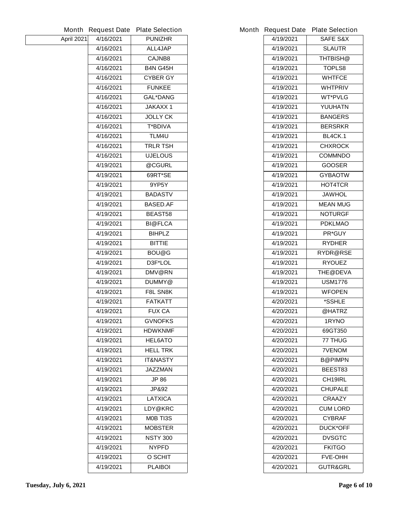|            | Month Request Date | <b>Plate Selection</b> |
|------------|--------------------|------------------------|
| April 2021 | 4/16/2021          | <b>PUNIZHR</b>         |
|            | 4/16/2021          | ALL4JAP                |
|            | 4/16/2021          | <b>CAJNB8</b>          |
|            | 4/16/2021          | <b>B4N G45H</b>        |
|            | 4/16/2021          | <b>CYBER GY</b>        |
|            | 4/16/2021          | <b>FUNKEE</b>          |
|            | 4/16/2021          | <b>GAL*DANG</b>        |
|            | 4/16/2021          | <b>JAKAXX1</b>         |
|            | 4/16/2021          | <b>JOLLY CK</b>        |
|            | 4/16/2021          | <b>T*BDIVA</b>         |
|            | 4/16/2021          | TLM4U                  |
|            | 4/16/2021          | <b>TRLR TSH</b>        |
|            | 4/16/2021          | <b>UJELOUS</b>         |
|            | 4/19/2021          | @CGURL                 |
|            | 4/19/2021          | 69RT*SE                |
|            | 4/19/2021          | 9YP5Y                  |
|            | 4/19/2021          | <b>BADASTV</b>         |
|            | 4/19/2021          | <b>BASED.AF</b>        |
|            | 4/19/2021          | <b>BEAST58</b>         |
|            | 4/19/2021          | <b>BI@FLCA</b>         |
|            | 4/19/2021          | <b>BIHPLZ</b>          |
|            | 4/19/2021          | <b>BITTIE</b>          |
|            | 4/19/2021          | <b>BOU@G</b>           |
|            | 4/19/2021          | D3F*LOL                |
|            | 4/19/2021          | DMV@RN                 |
|            | 4/19/2021          | DUMMY@                 |
|            | 4/19/2021          | <b>F8L SN8K</b>        |
|            | 4/19/2021          | <b>FATKATT</b>         |
|            | 4/19/2021          | <b>FUX CA</b>          |
|            | 4/19/2021          | <b>GVNOFKS</b>         |
|            | 4/19/2021          | <b>HDWKNMF</b>         |
|            | 4/19/2021          | <b>HEL6ATO</b>         |
|            | 4/19/2021          | <b>HELL TRK</b>        |
|            | 4/19/2021          | IT&NASTY               |
|            | 4/19/2021          | JAZZMAN                |
|            | 4/19/2021          | JP 86                  |
|            | 4/19/2021          | JP&92                  |
|            | 4/19/2021          | <b>LATXICA</b>         |
|            | 4/19/2021          | LDY@KRC                |
|            | 4/19/2021          | <b>MOB TI3S</b>        |
|            | 4/19/2021          | <b>MOBSTER</b>         |
|            | 4/19/2021          | <b>NSTY 300</b>        |
|            | 4/19/2021          | <b>NYPFD</b>           |
|            | 4/19/2021          | <b>O SCHIT</b>         |
|            | 4/19/2021          | <b>PLAIBOI</b>         |
|            |                    |                        |

|           | Month Request Date Plate Selection |
|-----------|------------------------------------|
| 4/19/2021 | <b>SAFE S&amp;X</b>                |
| 4/19/2021 | SLAUTR                             |
| 4/19/2021 | THTBISH@                           |
| 4/19/2021 | <b>TOPLS8</b>                      |
| 4/19/2021 | <b>WHTFCE</b>                      |
| 4/19/2021 | <b>WHTPRIV</b>                     |
| 4/19/2021 | <b>WT*PVLG</b>                     |
| 4/19/2021 | YUUHATN                            |
| 4/19/2021 | <b>BANGERS</b>                     |
| 4/19/2021 | <b>BERSRKR</b>                     |
| 4/19/2021 | <b>BL4CK.1</b>                     |
| 4/19/2021 | CHXROCK                            |
| 4/19/2021 | <b>COMMNDO</b>                     |
| 4/19/2021 | <b>GOOSER</b>                      |
| 4/19/2021 | <b>GYBAOTW</b>                     |
| 4/19/2021 | <b>HOT4TCR</b>                     |
| 4/19/2021 | <b>JAWHOL</b>                      |
| 4/19/2021 | <b>MEAN MUG</b>                    |
| 4/19/2021 | <b>NOTURGF</b>                     |
| 4/19/2021 | <b>PDKLMAO</b>                     |
| 4/19/2021 | <b>PR*GUY</b>                      |
| 4/19/2021 | <b>RYDHER</b>                      |
| 4/19/2021 | <b>RYDR@RSE</b>                    |
| 4/19/2021 | <b>RYOUEZ</b>                      |
| 4/19/2021 | <b>THE@DEVA</b>                    |
| 4/19/2021 | <b>USM1776</b>                     |
| 4/19/2021 | <b>WFOPEN</b>                      |
| 4/20/2021 | *SSHLE                             |
| 4/20/2021 | @HATRZ                             |
| 4/20/2021 | 1RYNO                              |
| 4/20/2021 | 69GT350                            |
| 4/20/2021 | 77 THUG                            |
| 4/20/2021 | <b>7VENOM</b>                      |
| 4/20/2021 | <b>B@PIMPN</b>                     |
| 4/20/2021 | BEEST83                            |
| 4/20/2021 | <b>CH19IRL</b>                     |
| 4/20/2021 | <b>CHUPALE</b>                     |
| 4/20/2021 | <b>CRAAZY</b>                      |
| 4/20/2021 | <b>CUM LORD</b>                    |
| 4/20/2021 | <b>CYBRAF</b>                      |
| 4/20/2021 | <b>DUCK*OFF</b>                    |
| 4/20/2021 | <b>DVSGTC</b>                      |
| 4/20/2021 | <b>FKITGO</b>                      |
| 4/20/2021 | <b>FVE-OHH</b>                     |
| 4/20/2021 | <b>GUTR&amp;GRL</b>                |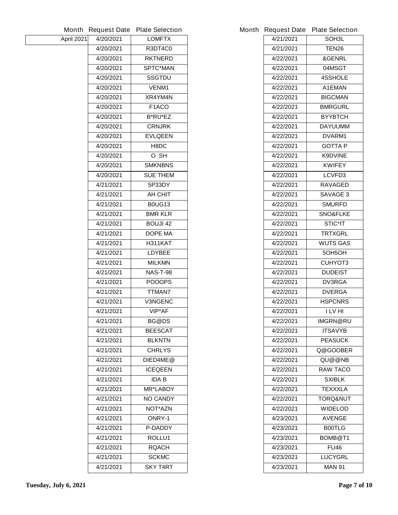|            |           | Month Request Date Plate Selection |           | Month Request Date Plate Selection |
|------------|-----------|------------------------------------|-----------|------------------------------------|
| April 2021 | 4/20/2021 | <b>LOMFTX</b>                      | 4/21/2021 | SOH <sub>3</sub> L                 |
|            | 4/20/2021 | <b>R3DT4C0</b>                     | 4/21/2021 | <b>TEN26</b>                       |
|            | 4/20/2021 | <b>RKTNERD</b>                     | 4/22/2021 | &GENRL                             |
|            | 4/20/2021 | <b>SPTC*MAN</b>                    | 4/22/2021 | 04MSGT                             |
|            | 4/20/2021 | <b>SSGTDU</b>                      | 4/22/2021 | <b>4SSHOLE</b>                     |
|            | 4/20/2021 | <b>VENM1</b>                       | 4/22/2021 | A1EMAN                             |
|            | 4/20/2021 | XR4YM4N                            | 4/22/2021 | <b>BIGCMAN</b>                     |
|            | 4/20/2021 | F1ACO                              | 4/22/2021 | <b>BMRGURL</b>                     |
|            | 4/20/2021 | <b>B*RU*EZ</b>                     | 4/22/2021 | <b>BYYBTCH</b>                     |
|            | 4/20/2021 | <b>CRNJRK</b>                      | 4/22/2021 | <b>DAYUUMM</b>                     |
|            | 4/20/2021 | <b>EVLQEEN</b>                     | 4/22/2021 | DVARM1                             |
|            | 4/20/2021 | H8DC                               | 4/22/2021 | <b>GOTTAP</b>                      |
|            | 4/20/2021 | O SH                               | 4/22/2021 | <b>K9DVINE</b>                     |
|            | 4/20/2021 | <b>SMKNBNS</b>                     | 4/22/2021 | <b>KWIFEY</b>                      |
|            | 4/20/2021 | <b>SUE THEM</b>                    | 4/22/2021 | LCVFD3                             |
|            | 4/21/2021 | 5P33DY                             | 4/22/2021 | <b>RAVAGED</b>                     |
|            | 4/21/2021 | <b>AH CHIT</b>                     | 4/22/2021 | <b>SAVAGE 3</b>                    |
|            | 4/21/2021 | <b>B0UG13</b>                      | 4/22/2021 | <b>SMURFD</b>                      |
|            | 4/21/2021 | <b>BMR KLR</b>                     | 4/22/2021 | <b>SNO&amp;FLKE</b>                |
|            | 4/21/2021 | <b>BOUJI 42</b>                    | 4/22/2021 | <b>STIC*IT</b>                     |
|            | 4/21/2021 | <b>DOPE MA</b>                     | 4/22/2021 | <b>TRTXGRL</b>                     |
|            | 4/21/2021 | <b>H311KAT</b>                     | 4/22/2021 | <b>WUTS GAS</b>                    |
|            | 4/21/2021 | <b>LDYBEE</b>                      | 4/22/2021 | 5OH5OH                             |
|            | 4/21/2021 | <b>MILKMN</b>                      | 4/22/2021 | <b>CUHYOT3</b>                     |
|            | 4/21/2021 | <b>NAS-T-98</b>                    | 4/22/2021 | <b>DUDEIST</b>                     |
|            | 4/21/2021 | <b>POOOPS</b>                      | 4/22/2021 | DV3RGA                             |
|            | 4/21/2021 | <b>TTMAN7</b>                      | 4/22/2021 | <b>DVERGA</b>                      |
|            | 4/21/2021 | <b>V3NGENC</b>                     | 4/22/2021 | <b>HSPCNRS</b>                     |
|            | 4/21/2021 | VIP*AF                             | 4/22/2021 | I LV HI                            |
|            | 4/21/2021 | <b>BG@DS</b>                       | 4/22/2021 | IMGRN@RU                           |
|            | 4/21/2021 | <b>BEESCAT</b>                     | 4/22/2021 | <b>ITSAVYB</b>                     |
|            | 4/21/2021 | <b>BLKNTN</b>                      | 4/22/2021 | <b>PEASUCK</b>                     |
|            | 4/21/2021 | <b>CHRLYS</b>                      | 4/22/2021 | Q@GOOBER                           |
|            | 4/21/2021 | DIED4ME@                           | 4/22/2021 | QU@@NB                             |
|            | 4/21/2021 | <b>ICEQEEN</b>                     | 4/22/2021 | <b>RAW TACO</b>                    |
|            | 4/21/2021 | <b>IDAB</b>                        | 4/22/2021 | <b>SXIBLK</b>                      |
|            | 4/21/2021 | <b>MR*LABOY</b>                    | 4/22/2021 | <b>TEXXXLA</b>                     |
|            | 4/21/2021 | <b>NO CANDY</b>                    | 4/22/2021 | <b>TORQ&amp;NUT</b>                |
|            | 4/21/2021 | <b>NOT*AZN</b>                     | 4/22/2021 | <b>WIDELOD</b>                     |
|            | 4/21/2021 | <b>ONRY-1</b>                      | 4/23/2021 | <b>AVENGE</b>                      |
|            | 4/21/2021 | <b>P-DADDY</b>                     | 4/23/2021 | <b>B00TLG</b>                      |
|            | 4/21/2021 | ROLLU1                             | 4/23/2021 | BOMB@T1                            |
|            | 4/21/2021 | <b>RQACH</b>                       | 4/23/2021 | <b>FU46</b>                        |
|            | 4/21/2021 | <b>SCKMC</b>                       | 4/23/2021 | <b>LUCYGRL</b>                     |
|            | 4/21/2021 | <b>SKY T4RT</b>                    | 4/23/2021 | <b>MAN 91</b>                      |
|            |           |                                    |           |                                    |

|           | <b>Request Date Plate Selection</b> |  |  |
|-----------|-------------------------------------|--|--|
| 4/21/2021 | SOH3L                               |  |  |
| 4/21/2021 | TEN26                               |  |  |
| 4/22/2021 | <b>&amp;GENRL</b>                   |  |  |
| 4/22/2021 | 04MSGT                              |  |  |
| 4/22/2021 | <b>4SSHOLE</b>                      |  |  |
| 4/22/2021 | A1EMAN                              |  |  |
| 4/22/2021 | <b>BIGCMAN</b>                      |  |  |
| 4/22/2021 | <b>BMRGURL</b>                      |  |  |
| 4/22/2021 | <b>BYYBTCH</b>                      |  |  |
| 4/22/2021 | <b>DAYUUMM</b>                      |  |  |
| 4/22/2021 | <b>DVARM1</b>                       |  |  |
| 4/22/2021 | <b>GOTTA P</b>                      |  |  |
| 4/22/2021 | <b>K9DVINE</b>                      |  |  |
| 4/22/2021 | <b>KWIFEY</b>                       |  |  |
| 4/22/2021 | LCVFD3                              |  |  |
| 4/22/2021 | <b>RAVAGED</b>                      |  |  |
| 4/22/2021 | <b>SAVAGE 3</b>                     |  |  |
| 4/22/2021 | <b>SMURFD</b>                       |  |  |
| 4/22/2021 | <b>SNO&amp;FLKE</b>                 |  |  |
| 4/22/2021 | <b>STIC*IT</b>                      |  |  |
| 4/22/2021 | <b>TRTXGRL</b>                      |  |  |
| 4/22/2021 | <b>WUTS GAS</b>                     |  |  |
| 4/22/2021 | 50H5OH                              |  |  |
| 4/22/2021 | <b>CUHYOT3</b>                      |  |  |
| 4/22/2021 | <b>DUDEIST</b>                      |  |  |
| 4/22/2021 | <b>DV3RGA</b>                       |  |  |
| 4/22/2021 | <b>DVERGA</b>                       |  |  |
| 4/22/2021 | <b>HSPCNRS</b>                      |  |  |
| 4/22/2021 | I LV HI                             |  |  |
| 4/22/2021 | <b>IMGRN@RU</b>                     |  |  |
| 4/22/2021 | <b>ITSAVYB</b>                      |  |  |
| 4/22/2021 | <b>PEASUCK</b>                      |  |  |
| 4/22/2021 | Q@GOOBER                            |  |  |
| 4/22/2021 | QU@@NB                              |  |  |
| 4/22/2021 | <b>RAW TACO</b>                     |  |  |
| 4/22/2021 | <b>SXIBLK</b>                       |  |  |
| 4/22/2021 | TEXXXLA                             |  |  |
| 4/22/2021 | TORQ&NUT                            |  |  |
| 4/22/2021 | <b>WIDELOD</b>                      |  |  |
| 4/23/2021 | <b>AVENGE</b>                       |  |  |
| 4/23/2021 | <b>B00TLG</b>                       |  |  |
| 4/23/2021 | BOMB@T1                             |  |  |
| 4/23/2021 | <b>FU46</b>                         |  |  |
| 4/23/2021 | <b>LUCYGRL</b>                      |  |  |
| 4/23/2021 | MAN 91                              |  |  |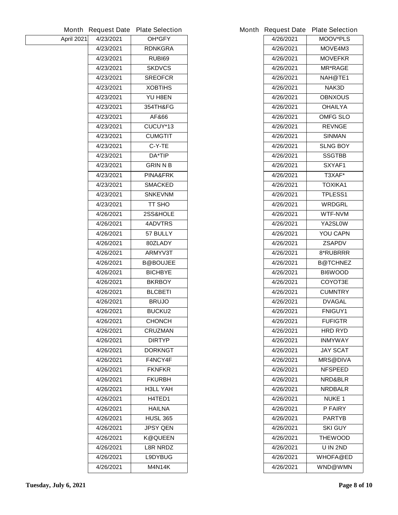|            |           | Month Request Date Plate Selection |
|------------|-----------|------------------------------------|
| April 2021 | 4/23/2021 | <b>OH*GFY</b>                      |
|            | 4/23/2021 | <b>RDNKGRA</b>                     |
|            | 4/23/2021 | RUBI69                             |
|            | 4/23/2021 | <b>SKDVCS</b>                      |
|            | 4/23/2021 | <b>SREOFCR</b>                     |
|            | 4/23/2021 | <b>XOBTIHS</b>                     |
|            | 4/23/2021 | <b>YU H8EN</b>                     |
|            | 4/23/2021 | 354TH&FG                           |
|            | 4/23/2021 | AF&66                              |
|            | 4/23/2021 | CUCUY*13                           |
|            | 4/23/2021 | <b>CUMGTIT</b>                     |
|            | 4/23/2021 | C-Y-TE                             |
|            | 4/23/2021 | <b>DA*TIP</b>                      |
|            | 4/23/2021 | <b>GRINNB</b>                      |
|            | 4/23/2021 | <b>PINA&amp;FRK</b>                |
|            | 4/23/2021 | <b>SMACKED</b>                     |
|            | 4/23/2021 | <b>SNKEVNM</b>                     |
|            | 4/23/2021 | <b>TT SHO</b>                      |
|            | 4/26/2021 | <b>2SS&amp;HOLE</b>                |
|            | 4/26/2021 | <b>4ADVTRS</b>                     |
|            | 4/26/2021 | 57 BULLY                           |
|            | 4/26/2021 | 80ZLADY                            |
|            | 4/26/2021 | <b>ARMYV3T</b>                     |
|            | 4/26/2021 | <b>B@BOUJEE</b>                    |
|            | 4/26/2021 | <b>BICHBYE</b>                     |
|            | 4/26/2021 | <b>BKRBOY</b>                      |
|            | 4/26/2021 | <b>BLCBETI</b>                     |
|            | 4/26/2021 | <b>BRUJO</b>                       |
|            | 4/26/2021 | <b>BUCKU2</b>                      |
|            | 4/26/2021 | <b>CHONCH</b>                      |
|            | 4/26/2021 | <b>CRUZMAN</b>                     |
|            | 4/26/2021 | <b>DIRTYP</b>                      |
|            | 4/26/2021 | <b>DORKNGT</b>                     |
|            | 4/26/2021 | <b>F4NCY4F</b>                     |
|            | 4/26/2021 | <b>FKNFKR</b>                      |
|            | 4/26/2021 | <b>FKURBH</b>                      |
|            | 4/26/2021 | <b>H3LL YAH</b>                    |
|            | 4/26/2021 | <b>H4TED1</b>                      |
|            | 4/26/2021 | HAILNA                             |
|            | 4/26/2021 | <b>HUSL 365</b>                    |
|            | 4/26/2021 | <b>JPSY QEN</b>                    |
|            | 4/26/2021 | <b>K@QUEEN</b>                     |
|            | 4/26/2021 | <b>L8R NRDZ</b>                    |
|            | 4/26/2021 | <b>L9DYBUG</b>                     |
|            | 4/26/2021 | <b>M4N14K</b>                      |
|            |           |                                    |

| 4/26/2021 | <b>MOOV*PLS</b> |  |  |
|-----------|-----------------|--|--|
| 4/26/2021 | <b>MOVE4M3</b>  |  |  |
| 4/26/2021 | <b>MOVEFKR</b>  |  |  |
| 4/26/2021 | <b>MR*RAGE</b>  |  |  |
| 4/26/2021 | NAH@TE1         |  |  |
| 4/26/2021 | NAK3D           |  |  |
| 4/26/2021 | OBNXOUS         |  |  |
| 4/26/2021 | <b>OHAILYA</b>  |  |  |
| 4/26/2021 | OMFG SLO        |  |  |
| 4/26/2021 | <b>REVNGE</b>   |  |  |
| 4/26/2021 | SINMAN          |  |  |
| 4/26/2021 | <b>SLNG BOY</b> |  |  |
| 4/26/2021 | SSGTBB          |  |  |
| 4/26/2021 | SXYAF1          |  |  |
| 4/26/2021 | T3XAF*          |  |  |
| 4/26/2021 | ΤΟΧΙΚΑ1         |  |  |
| 4/26/2021 | <b>TPLESS1</b>  |  |  |
| 4/26/2021 | WRDGRL          |  |  |
| 4/26/2021 | WTF-NVM         |  |  |
| 4/26/2021 | <b>YA2SLOW</b>  |  |  |
| 4/26/2021 | YOU CAPN        |  |  |
| 4/26/2021 | <b>ZSAPDV</b>   |  |  |
| 4/26/2021 | <b>8*RUBRRR</b> |  |  |
| 4/26/2021 | <b>B@TCHNEZ</b> |  |  |
| 4/26/2021 | <b>BI6WOOD</b>  |  |  |
| 4/26/2021 | <b>COYOT3E</b>  |  |  |
| 4/26/2021 | <b>CUMNTRY</b>  |  |  |
| 4/26/2021 | <b>DVAGAL</b>   |  |  |
| 4/26/2021 | <b>FNIGUY1</b>  |  |  |
| 4/26/2021 | <b>FUFIGTR</b>  |  |  |
| 4/26/2021 | <b>HRD RYD</b>  |  |  |
| 4/26/2021 | <b>INMYWAY</b>  |  |  |
| 4/26/2021 | <b>JAY SCAT</b> |  |  |
| 4/26/2021 | <b>MRS@DIVA</b> |  |  |
| 4/26/2021 | <b>NFSPEED</b>  |  |  |
| 4/26/2021 | NRD&BLR         |  |  |
| 4/26/2021 | <b>NRDBALR</b>  |  |  |
| 4/26/2021 | <b>NUKE 1</b>   |  |  |
| 4/26/2021 | P FAIRY         |  |  |
| 4/26/2021 | <b>PARTYB</b>   |  |  |
| 4/26/2021 | <b>SKI GUY</b>  |  |  |
| 4/26/2021 | <b>THEWOOD</b>  |  |  |
| 4/26/2021 | U IN 2ND        |  |  |
| 4/26/2021 | <b>WHOFA@ED</b> |  |  |
| 4/26/2021 | <b>WND@WMN</b>  |  |  |
|           |                 |  |  |

**Month Request Date Plate Selection Month Request Date Plate Selection**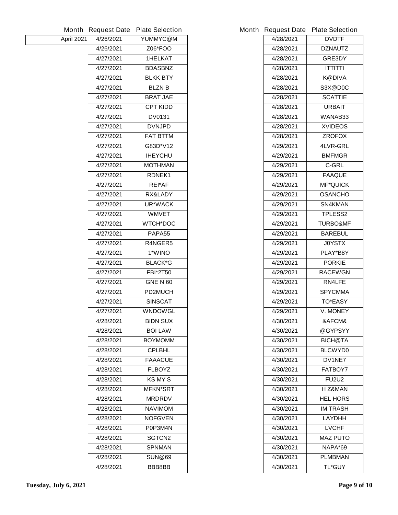|            |           | Month Request Date Plate Selection |           | Month Request Date Plate Selection |
|------------|-----------|------------------------------------|-----------|------------------------------------|
| April 2021 | 4/26/2021 | YUMMYC@M                           | 4/28/2021 | <b>DVDTF</b>                       |
|            | 4/26/2021 | <b>Z06*FOO</b>                     | 4/28/2021 | <b>DZNAUTZ</b>                     |
|            | 4/27/2021 | <b>1HELKAT</b>                     | 4/28/2021 | GRE3DY                             |
|            | 4/27/2021 | <b>BDASBNZ</b>                     | 4/28/2021 | <b>ITTITTI</b>                     |
|            | 4/27/2021 | <b>BLKK BTY</b>                    | 4/28/2021 | <b>K@DIVA</b>                      |
|            | 4/27/2021 | <b>BLZNB</b>                       | 4/28/2021 | S3X@D0C                            |
|            | 4/27/2021 | <b>BRAT JAE</b>                    | 4/28/2021 | <b>SCATTIE</b>                     |
|            | 4/27/2021 | <b>CPT KIDD</b>                    | 4/28/2021 | <b>URBAIT</b>                      |
|            | 4/27/2021 | <b>DV0131</b>                      | 4/28/2021 | WANAB33                            |
|            | 4/27/2021 | <b>DVNJPD</b>                      | 4/28/2021 | <b>XVIDEOS</b>                     |
|            | 4/27/2021 | <b>FAT BTTM</b>                    | 4/28/2021 | <b>ZROFOX</b>                      |
|            | 4/27/2021 | G83D*V12                           | 4/29/2021 | 4LVR-GRL                           |
|            | 4/27/2021 | <b>IHEYCHU</b>                     | 4/29/2021 | <b>BMFMGR</b>                      |
|            | 4/27/2021 | <b>MOTHMAN</b>                     | 4/29/2021 | <b>C-GRL</b>                       |
|            | 4/27/2021 | <b>RDNEK1</b>                      | 4/29/2021 | <b>FAAQUE</b>                      |
|            | 4/27/2021 | <b>REI*AF</b>                      | 4/29/2021 | <b>MF*QUICK</b>                    |
|            | 4/27/2021 | <b>RX&amp;LADY</b>                 | 4/29/2021 | <b>OSANCHO</b>                     |
|            | 4/27/2021 | <b>UR*WACK</b>                     | 4/29/2021 | SN4KMAN                            |
|            | 4/27/2021 | <b>WMVET</b>                       | 4/29/2021 | <b>TPLESS2</b>                     |
|            | 4/27/2021 | <b>WTCH*DOC</b>                    | 4/29/2021 | <b>TURBO&amp;MF</b>                |
|            | 4/27/2021 | PAPA55                             | 4/29/2021 | <b>BAREBUL</b>                     |
|            | 4/27/2021 | R4NGER5                            | 4/29/2021 | <b>JOYSTX</b>                      |
|            | 4/27/2021 | 1*WINO                             | 4/29/2021 | PLAY*B8Y                           |
|            | 4/27/2021 | <b>BLACK*G</b>                     | 4/29/2021 | <b>PORKIE</b>                      |
|            | 4/27/2021 | <b>FBI*2T50</b>                    | 4/29/2021 | <b>RACEWGN</b>                     |
|            | 4/27/2021 | <b>GNE N 60</b>                    | 4/29/2021 | RN4LFE                             |
|            | 4/27/2021 | <b>PD2MUCH</b>                     | 4/29/2021 | <b>SPYCMMA</b>                     |
|            | 4/27/2021 | <b>SINSCAT</b>                     | 4/29/2021 | <b>TO*EASY</b>                     |
|            | 4/27/2021 | <b>WNDOWGL</b>                     | 4/29/2021 | <b>V. MONEY</b>                    |
|            | 4/28/2021 | <b>BIDN SUX</b>                    | 4/30/2021 | &AFCM&                             |
|            | 4/28/2021 | <b>BOI LAW</b>                     | 4/30/2021 | @GYPSYY                            |
|            | 4/28/2021 | <b>BOYMOMM</b>                     | 4/30/2021 | <b>BICH@TA</b>                     |
|            | 4/28/2021 | <b>CPLBHL</b>                      | 4/30/2021 | <b>BLCWYD0</b>                     |
|            | 4/28/2021 | <b>FAAACUE</b>                     | 4/30/2021 | DV1NE7                             |
|            | 4/28/2021 | <b>FLBOYZ</b>                      | 4/30/2021 | <b>FATBOY7</b>                     |
|            | 4/28/2021 | <b>KS MY S</b>                     | 4/30/2021 | <b>FU2U2</b>                       |
|            | 4/28/2021 | <b>MFKN*SRT</b>                    | 4/30/2021 | H Z&MAN                            |
|            | 4/28/2021 | <b>MRDRDV</b>                      | 4/30/2021 | <b>HEL HORS</b>                    |
|            | 4/28/2021 | <b>NAVIMOM</b>                     | 4/30/2021 | <b>IM TRASH</b>                    |
|            | 4/28/2021 | <b>NOFGVEN</b>                     | 4/30/2021 | <b>LAYDHH</b>                      |
|            | 4/28/2021 | P0P3M4N                            | 4/30/2021 | <b>LVCHF</b>                       |
|            | 4/28/2021 | <b>SGTCN2</b>                      | 4/30/2021 | <b>MAZ PUTO</b>                    |
|            | 4/28/2021 | <b>SPNMAN</b>                      | 4/30/2021 | NAPA*69                            |
|            | 4/28/2021 | <b>SUN@69</b>                      | 4/30/2021 | <b>PLMBMAN</b>                     |
|            | 4/28/2021 | <b>BBB8BB</b>                      | 4/30/2021 | <b>TL*GUY</b>                      |

|           | <b>Request Date Plate Selection</b> |  |  |
|-----------|-------------------------------------|--|--|
| 4/28/2021 | <b>DVDTF</b>                        |  |  |
| 4/28/2021 | <b>DZNAUTZ</b>                      |  |  |
| 4/28/2021 | <b>GRE3DY</b>                       |  |  |
| 4/28/2021 | ITTITTI                             |  |  |
| 4/28/2021 | K@DIVA                              |  |  |
| 4/28/2021 | S3X@D0C                             |  |  |
| 4/28/2021 | <b>SCATTIE</b>                      |  |  |
| 4/28/2021 | URBAIT                              |  |  |
| 4/28/2021 | WANAB33                             |  |  |
| 4/28/2021 | <b>XVIDEOS</b>                      |  |  |
| 4/28/2021 | <b>ZROFOX</b>                       |  |  |
| 4/29/2021 | <b>4LVR-GRL</b>                     |  |  |
| 4/29/2021 | <b>BMFMGR</b>                       |  |  |
| 4/29/2021 | C-GRL                               |  |  |
| 4/29/2021 | <b>FAAQUE</b>                       |  |  |
| 4/29/2021 | <b>MF*QUICK</b>                     |  |  |
| 4/29/2021 | <b>OSANCHO</b>                      |  |  |
| 4/29/2021 | SN4KMAN                             |  |  |
| 4/29/2021 | <b>TPLESS2</b>                      |  |  |
| 4/29/2021 | <b>TURBO&amp;MF</b>                 |  |  |
| 4/29/2021 | <b>BAREBUL</b>                      |  |  |
| 4/29/2021 | <b>JOYSTX</b>                       |  |  |
| 4/29/2021 | PLAY*B8Y                            |  |  |
| 4/29/2021 | <b>PORKIE</b>                       |  |  |
| 4/29/2021 | <b>RACEWGN</b>                      |  |  |
| 4/29/2021 | <b>RN4LFE</b>                       |  |  |
| 4/29/2021 | <b>SPYCMMA</b>                      |  |  |
| 4/29/2021 | <b>TO*EASY</b>                      |  |  |
| 4/29/2021 | V. MONEY                            |  |  |
| 4/30/2021 | &AFCM&                              |  |  |
| 4/30/2021 | @GYPSYY                             |  |  |
| 4/30/2021 | <b>BICH@TA</b>                      |  |  |
| 4/30/2021 | <b>BLCWYD0</b>                      |  |  |
| 4/30/2021 | <b>DV1NE7</b>                       |  |  |
| 4/30/2021 | <b>FATBOY7</b>                      |  |  |
| 4/30/2021 | <b>FU2U2</b>                        |  |  |
| 4/30/2021 | H Z&MAN                             |  |  |
| 4/30/2021 | <b>HEL HORS</b>                     |  |  |
| 4/30/2021 | <b>IM TRASH</b>                     |  |  |
| 4/30/2021 | LAYDHH                              |  |  |
| 4/30/2021 | LVCHF                               |  |  |
| 4/30/2021 | <b>MAZ PUTO</b>                     |  |  |
| 4/30/2021 | NAPA*69                             |  |  |
| 4/30/2021 | PLMBMAN                             |  |  |
| 4/30/2021 | <b>TL*GUY</b>                       |  |  |
|           |                                     |  |  |